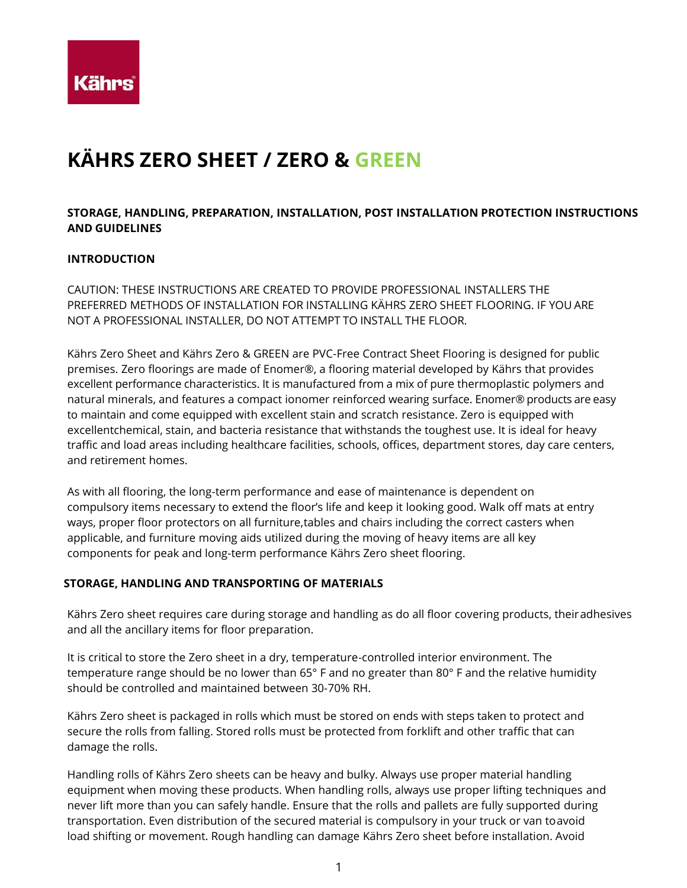

# **KÄHRS ZERO SHEET / ZERO & GREEN**

# **STORAGE, HANDLING, PREPARATION, INSTALLATION, POST INSTALLATION PROTECTION INSTRUCTIONS AND GUIDELINES**

## **INTRODUCTION**

CAUTION: THESE INSTRUCTIONS ARE CREATED TO PROVIDE PROFESSIONAL INSTALLERS THE PREFERRED METHODS OF INSTALLATION FOR INSTALLING KÄHRS ZERO SHEET FLOORING. IF YOU ARE NOT A PROFESSIONAL INSTALLER, DO NOT ATTEMPT TO INSTALL THE FLOOR.

Kährs Zero Sheet and Kährs Zero & GREEN are PVC-Free Contract Sheet Flooring is designed for public premises. Zero floorings are made of Enomer®, a flooring material developed by Kährs that provides excellent performance characteristics. It is manufactured from a mix of pure thermoplastic polymers and natural minerals, and features a compact ionomer reinforced wearing surface. Enomer® products are easy to maintain and come equipped with excellent stain and scratch resistance. Zero is equipped with excellentchemical, stain, and bacteria resistance that withstands the toughest use. It is ideal for heavy traffic and load areas including healthcare facilities, schools, offices, department stores, day care centers, and retirement homes.

As with all flooring, the long-term performance and ease of maintenance is dependent on compulsory items necessary to extend the floor's life and keep it looking good. Walk off mats at entry ways, proper floor protectors on all furniture,tables and chairs including the correct casters when applicable, and furniture moving aids utilized during the moving of heavy items are all key components for peak and long-term performance Kährs Zero sheet flooring.

#### **STORAGE, HANDLING AND TRANSPORTING OF MATERIALS**

Kährs Zero sheet requires care during storage and handling as do all floor covering products, theiradhesives and all the ancillary items for floor preparation.

It is critical to store the Zero sheet in a dry, temperature-controlled interior environment. The temperature range should be no lower than 65° F and no greater than 80° F and the relative humidity should be controlled and maintained between 30-70% RH.

Kährs Zero sheet is packaged in rolls which must be stored on ends with steps taken to protect and secure the rolls from falling. Stored rolls must be protected from forklift and other traffic that can damage the rolls.

Handling rolls of Kährs Zero sheets can be heavy and bulky. Always use proper material handling equipment when moving these products. When handling rolls, always use proper lifting techniques and never lift more than you can safely handle. Ensure that the rolls and pallets are fully supported during transportation. Even distribution of the secured material is compulsory in your truck or van toavoid load shifting or movement. Rough handling can damage Kährs Zero sheet before installation. Avoid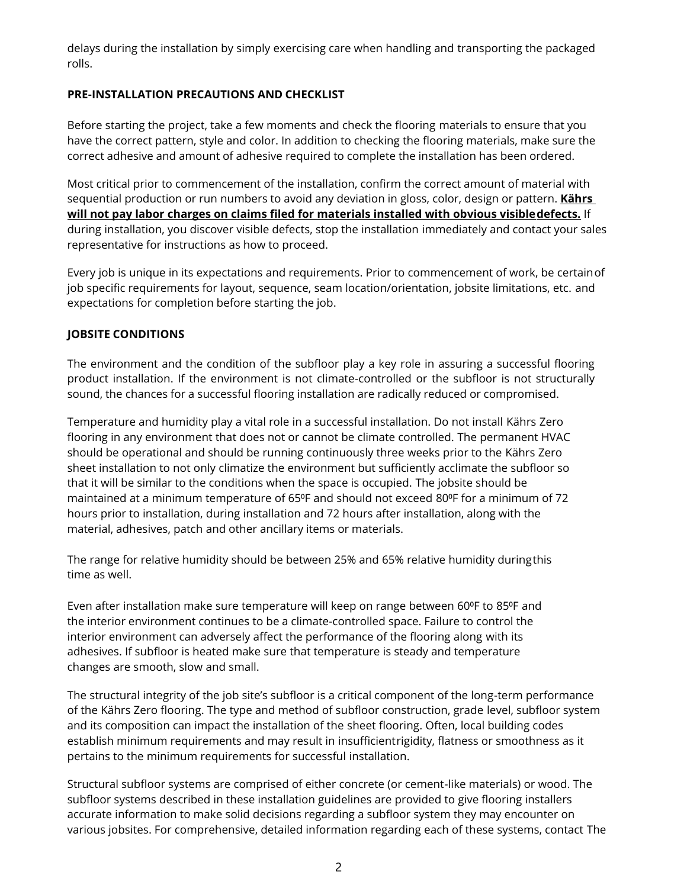delays during the installation by simply exercising care when handling and transporting the packaged rolls.

# **PRE-INSTALLATION PRECAUTIONS AND CHECKLIST**

Before starting the project, take a few moments and check the flooring materials to ensure that you have the correct pattern, style and color. In addition to checking the flooring materials, make sure the correct adhesive and amount of adhesive required to complete the installation has been ordered.

Most critical prior to commencement of the installation, confirm the correct amount of material with sequential production or run numbers to avoid any deviation in gloss, color, design or pattern. **Kährs will not pay labor charges on claims filed for materials installed with obvious visibledefects.** If during installation, you discover visible defects, stop the installation immediately and contact your sales representative for instructions as how to proceed.

Every job is unique in its expectations and requirements. Prior to commencement of work, be certainof job specific requirements for layout, sequence, seam location/orientation, jobsite limitations, etc. and expectations for completion before starting the job.

# **JOBSITE CONDITIONS**

The environment and the condition of the subfloor play a key role in assuring a successful flooring product installation. If the environment is not climate-controlled or the subfloor is not structurally sound, the chances for a successful flooring installation are radically reduced or compromised.

Temperature and humidity play a vital role in a successful installation. Do not install Kährs Zero flooring in any environment that does not or cannot be climate controlled. The permanent HVAC should be operational and should be running continuously three weeks prior to the Kährs Zero sheet installation to not only climatize the environment but sufficiently acclimate the subfloor so that it will be similar to the conditions when the space is occupied. The jobsite should be maintained at a minimum temperature of 65ºF and should not exceed 80ºF for a minimum of 72 hours prior to installation, during installation and 72 hours after installation, along with the material, adhesives, patch and other ancillary items or materials.

The range for relative humidity should be between 25% and 65% relative humidity duringthis time as well.

Even after installation make sure temperature will keep on range between 60°F to 85°F and the interior environment continues to be a climate-controlled space. Failure to control the interior environment can adversely affect the performance of the flooring along with its adhesives. If subfloor is heated make sure that temperature is steady and temperature changes are smooth, slow and small.

The structural integrity of the job site's subfloor is a critical component of the long-term performance of the Kährs Zero flooring. The type and method of subfloor construction, grade level, subfloor system and its composition can impact the installation of the sheet flooring. Often, local building codes establish minimum requirements and may result in insufficientrigidity, flatness or smoothness as it pertains to the minimum requirements for successful installation.

Structural subfloor systems are comprised of either concrete (or cement-like materials) or wood. The subfloor systems described in these installation guidelines are provided to give flooring installers accurate information to make solid decisions regarding a subfloor system they may encounter on various jobsites. For comprehensive, detailed information regarding each of these systems, contact The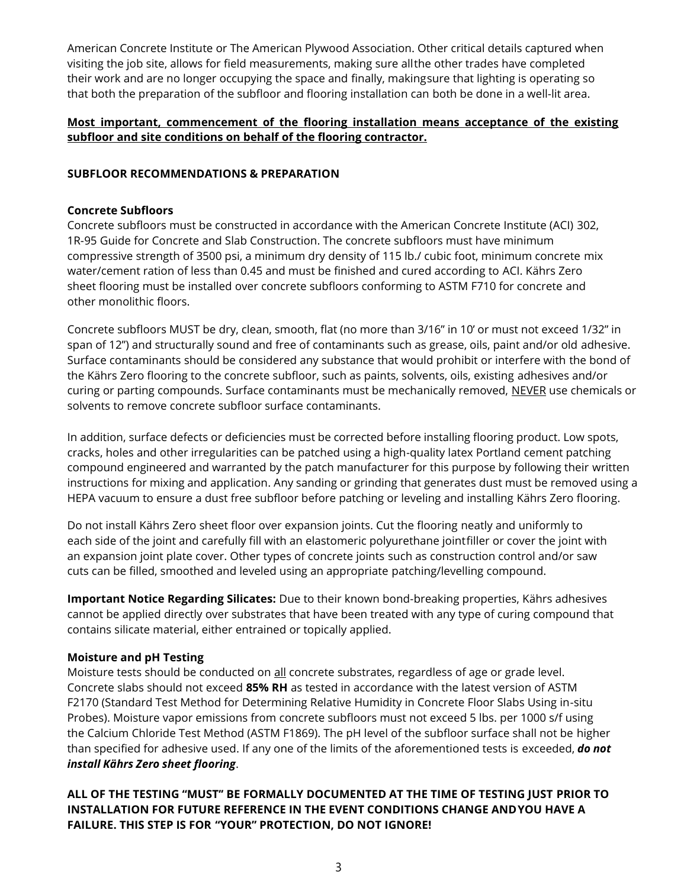American Concrete Institute or The American Plywood Association. Other critical details captured when visiting the job site, allows for field measurements, making sure allthe other trades have completed their work and are no longer occupying the space and finally, makingsure that lighting is operating so that both the preparation of the subfloor and flooring installation can both be done in a well-lit area.

# **Most important, commencement of the flooring installation means acceptance of the existing subfloor and site conditions on behalf of the flooring contractor.**

# **SUBFLOOR RECOMMENDATIONS & PREPARATION**

## **Concrete Subfloors**

Concrete subfloors must be constructed in accordance with the American Concrete Institute (ACI) 302, 1R-95 Guide for Concrete and Slab Construction. The concrete subfloors must have minimum compressive strength of 3500 psi, a minimum dry density of 115 lb./ cubic foot, minimum concrete mix water/cement ration of less than 0.45 and must be finished and cured according to ACI. Kährs Zero sheet flooring must be installed over concrete subfloors conforming to ASTM F710 for concrete and other monolithic floors.

Concrete subfloors MUST be dry, clean, smooth, flat (no more than 3/16" in 10' or must not exceed 1/32" in span of 12") and structurally sound and free of contaminants such as grease, oils, paint and/or old adhesive. Surface contaminants should be considered any substance that would prohibit or interfere with the bond of the Kährs Zero flooring to the concrete subfloor, such as paints, solvents, oils, existing adhesives and/or curing or parting compounds. Surface contaminants must be mechanically removed, NEVER use chemicals or solvents to remove concrete subfloor surface contaminants.

In addition, surface defects or deficiencies must be corrected before installing flooring product. Low spots, cracks, holes and other irregularities can be patched using a high-quality latex Portland cement patching compound engineered and warranted by the patch manufacturer for this purpose by following their written instructions for mixing and application. Any sanding or grinding that generates dust must be removed using a HEPA vacuum to ensure a dust free subfloor before patching or leveling and installing Kährs Zero flooring.

Do not install Kährs Zero sheet floor over expansion joints. Cut the flooring neatly and uniformly to each side of the joint and carefully fill with an elastomeric polyurethane jointfiller or cover the joint with an expansion joint plate cover. Other types of concrete joints such as construction control and/or saw cuts can be filled, smoothed and leveled using an appropriate patching/levelling compound.

**Important Notice Regarding Silicates:** Due to their known bond-breaking properties, Kährs adhesives cannot be applied directly over substrates that have been treated with any type of curing compound that contains silicate material, either entrained or topically applied.

# **Moisture and pH Testing**

Moisture tests should be conducted on all concrete substrates, regardless of age or grade level. Concrete slabs should not exceed **85% RH** as tested in accordance with the latest version of ASTM F2170 (Standard Test Method for Determining Relative Humidity in Concrete Floor Slabs Using in-situ Probes). Moisture vapor emissions from concrete subfloors must not exceed 5 lbs. per 1000 s/f using the Calcium Chloride Test Method (ASTM F1869). The pH level of the subfloor surface shall not be higher than specified for adhesive used. If any one of the limits of the aforementioned tests is exceeded, *do not install Kährs Zero sheet flooring*.

# **ALL OF THE TESTING ''MUST'' BE FORMALLY DOCUMENTED AT THE TIME OF TESTING JUST PRIOR TO INSTALLATION FOR FUTURE REFERENCE IN THE EVENT CONDITIONS CHANGE ANDYOU HAVE A FAILURE. THIS STEP IS FOR ''YOUR'' PROTECTION, DO NOT IGNORE!**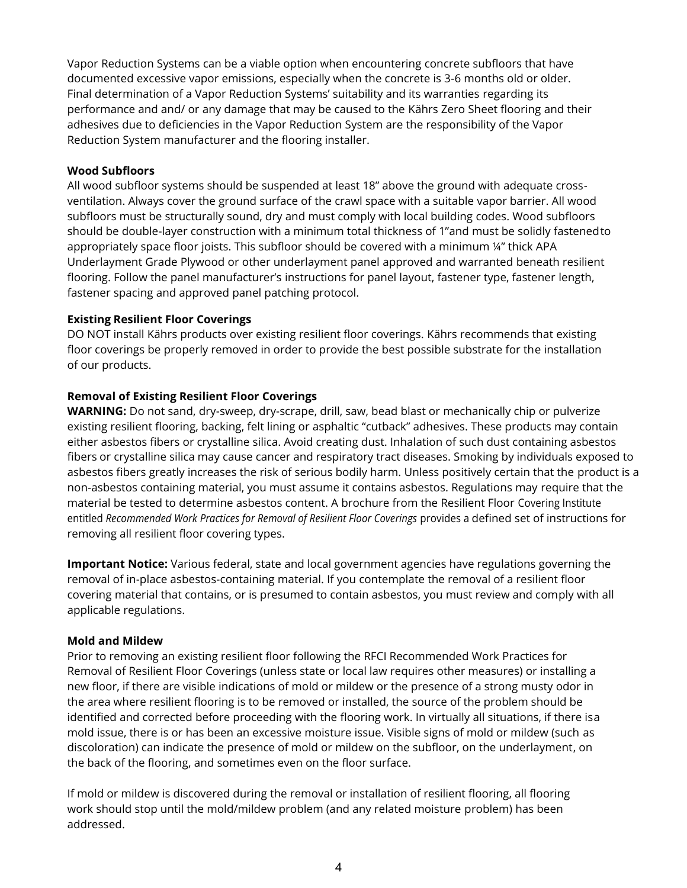Vapor Reduction Systems can be a viable option when encountering concrete subfloors that have documented excessive vapor emissions, especially when the concrete is 3-6 months old or older. Final determination of a Vapor Reduction Systems' suitability and its warranties regarding its performance and and/ or any damage that may be caused to the Kährs Zero Sheet flooring and their adhesives due to deficiencies in the Vapor Reduction System are the responsibility of the Vapor Reduction System manufacturer and the flooring installer.

### **Wood Subfloors**

All wood subfloor systems should be suspended at least 18" above the ground with adequate crossventilation. Always cover the ground surface of the crawl space with a suitable vapor barrier. All wood subfloors must be structurally sound, dry and must comply with local building codes. Wood subfloors should be double-layer construction with a minimum total thickness of 1"and must be solidly fastenedto appropriately space floor joists. This subfloor should be covered with a minimum 1/4" thick APA Underlayment Grade Plywood or other underlayment panel approved and warranted beneath resilient flooring. Follow the panel manufacturer's instructions for panel layout, fastener type, fastener length, fastener spacing and approved panel patching protocol.

## **Existing Resilient Floor Coverings**

DO NOT install Kährs products over existing resilient floor coverings. Kährs recommends that existing floor coverings be properly removed in order to provide the best possible substrate for the installation of our products.

## **Removal of Existing Resilient Floor Coverings**

**WARNING:** Do not sand, dry-sweep, dry-scrape, drill, saw, bead blast or mechanically chip or pulverize existing resilient flooring, backing, felt lining or asphaltic "cutback" adhesives. These products may contain either asbestos fibers or crystalline silica. Avoid creating dust. Inhalation of such dust containing asbestos fibers or crystalline silica may cause cancer and respiratory tract diseases. Smoking by individuals exposed to asbestos fibers greatly increases the risk of serious bodily harm. Unless positively certain that the product is a non-asbestos containing material, you must assume it contains asbestos. Regulations may require that the material be tested to determine asbestos content. A brochure from the Resilient Floor Covering Institute entitled *Recommended Work Practices for Removal of Resilient Floor Coverings* provides a defined set of instructions for removing all resilient floor covering types.

**Important Notice:** Various federal, state and local government agencies have regulations governing the removal of in-place asbestos-containing material. If you contemplate the removal of a resilient floor covering material that contains, or is presumed to contain asbestos, you must review and comply with all applicable regulations.

#### **Mold and Mildew**

Prior to removing an existing resilient floor following the RFCI Recommended Work Practices for Removal of Resilient Floor Coverings (unless state or local law requires other measures) or installing a new floor, if there are visible indications of mold or mildew or the presence of a strong musty odor in the area where resilient flooring is to be removed or installed, the source of the problem should be identified and corrected before proceeding with the flooring work. In virtually all situations, if there isa mold issue, there is or has been an excessive moisture issue. Visible signs of mold or mildew (such as discoloration) can indicate the presence of mold or mildew on the subfloor, on the underlayment, on the back of the flooring, and sometimes even on the floor surface.

If mold or mildew is discovered during the removal or installation of resilient flooring, all flooring work should stop until the mold/mildew problem (and any related moisture problem) has been addressed.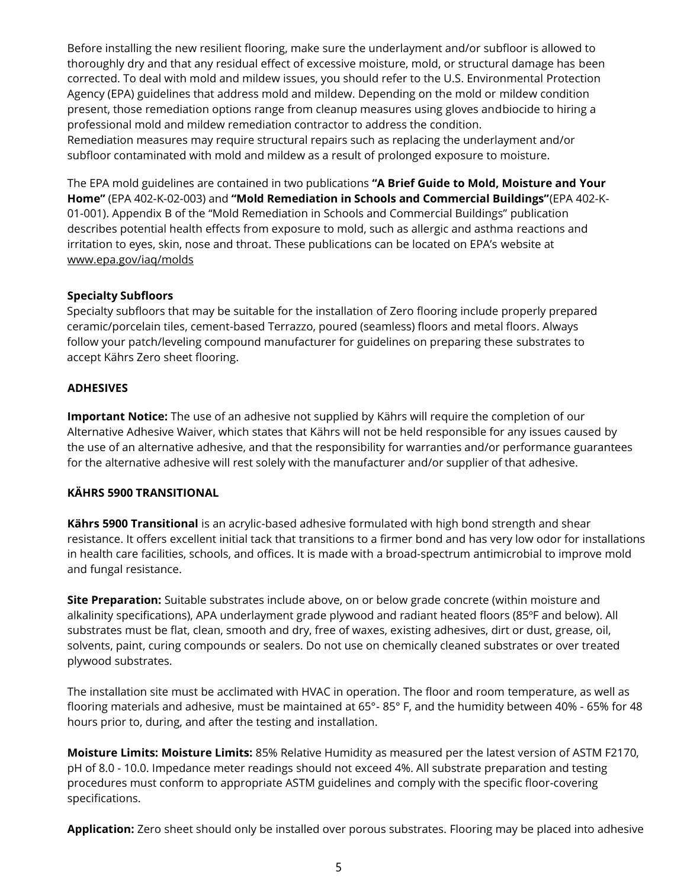Before installing the new resilient flooring, make sure the underlayment and/or subfloor is allowed to thoroughly dry and that any residual effect of excessive moisture, mold, or structural damage has been corrected. To deal with mold and mildew issues, you should refer to the U.S. Environmental Protection Agency (EPA) guidelines that address mold and mildew. Depending on the mold or mildew condition present, those remediation options range from cleanup measures using gloves andbiocide to hiring a professional mold and mildew remediation contractor to address the condition. Remediation measures may require structural repairs such as replacing the underlayment and/or subfloor contaminated with mold and mildew as a result of prolonged exposure to moisture.

The EPA mold guidelines are contained in two publications **"A Brief Guide to Mold, Moisture and Your Home"** (EPA 402-K-02-003) and **"Mold Remediation in Schools and Commercial Buildings"**(EPA 402-K-01-001). Appendix B of the "Mold Remediation in Schools and Commercial Buildings" publication describes potential health effects from exposure to mold, such as allergic and asthma reactions and irritation to eyes, skin, nose and throat. These publications can be located on EPA's website at [www.epa.gov/iaq/molds](http://www.epa.gov/iaq/molds)

# **Specialty Subfloors**

Specialty subfloors that may be suitable for the installation of Zero flooring include properly prepared ceramic/porcelain tiles, cement-based Terrazzo, poured (seamless) floors and metal floors. Always follow your patch/leveling compound manufacturer for guidelines on preparing these substrates to accept Kährs Zero sheet flooring.

## **ADHESIVES**

**Important Notice:** The use of an adhesive not supplied by Kährs will require the completion of our Alternative Adhesive Waiver, which states that Kährs will not be held responsible for any issues caused by the use of an alternative adhesive, and that the responsibility for warranties and/or performance guarantees for the alternative adhesive will rest solely with the manufacturer and/or supplier of that adhesive.

# **KÄHRS 5900 TRANSITIONAL**

**Kährs 5900 Transitional** is an acrylic-based adhesive formulated with high bond strength and shear resistance. It offers excellent initial tack that transitions to a firmer bond and has very low odor for installations in health care facilities, schools, and offices. It is made with a broad-spectrum antimicrobial to improve mold and fungal resistance.

**Site Preparation:** Suitable substrates include above, on or below grade concrete (within moisture and alkalinity specifications), APA underlayment grade plywood and radiant heated floors (85ºF and below). All substrates must be flat, clean, smooth and dry, free of waxes, existing adhesives, dirt or dust, grease, oil, solvents, paint, curing compounds or sealers. Do not use on chemically cleaned substrates or over treated plywood substrates.

The installation site must be acclimated with HVAC in operation. The floor and room temperature, as well as flooring materials and adhesive, must be maintained at 65°- 85° F, and the humidity between 40% - 65% for 48 hours prior to, during, and after the testing and installation.

**Moisture Limits: Moisture Limits:** 85% Relative Humidity as measured per the latest version of ASTM F2170, pH of 8.0 - 10.0. Impedance meter readings should not exceed 4%. All substrate preparation and testing procedures must conform to appropriate ASTM guidelines and comply with the specific floor-covering specifications.

**Application:** Zero sheet should only be installed over porous substrates. Flooring may be placed into adhesive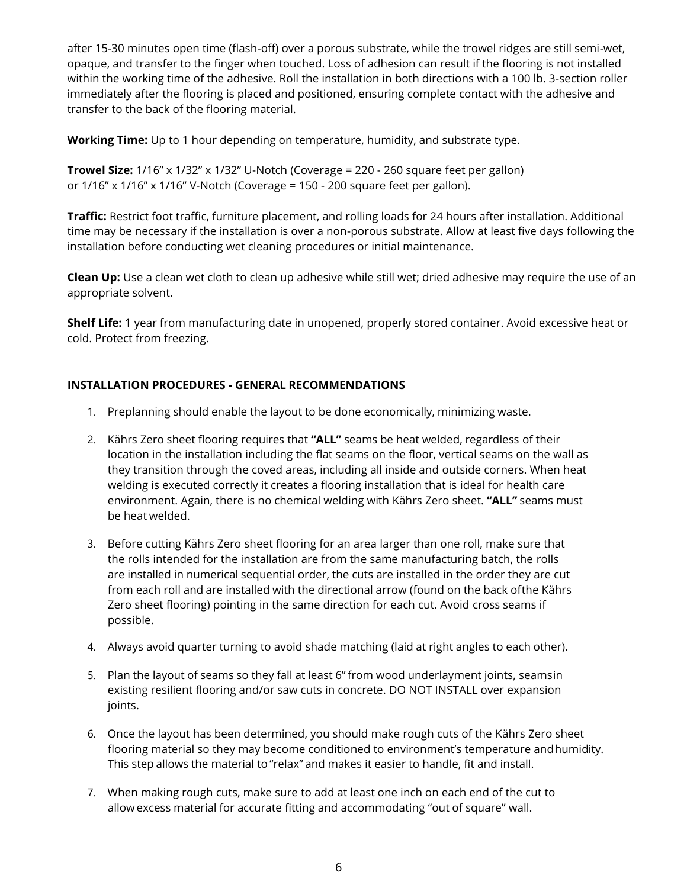after 15-30 minutes open time (flash-off) over a porous substrate, while the trowel ridges are still semi-wet, opaque, and transfer to the finger when touched. Loss of adhesion can result if the flooring is not installed within the working time of the adhesive. Roll the installation in both directions with a 100 lb. 3-section roller immediately after the flooring is placed and positioned, ensuring complete contact with the adhesive and transfer to the back of the flooring material.

**Working Time:** Up to 1 hour depending on temperature, humidity, and substrate type.

**Trowel Size:** 1/16" x 1/32" x 1/32" U-Notch (Coverage = 220 - 260 square feet per gallon) or 1/16" x 1/16" x 1/16" V-Notch (Coverage = 150 - 200 square feet per gallon).

**Traffic:** Restrict foot traffic, furniture placement, and rolling loads for 24 hours after installation. Additional time may be necessary if the installation is over a non-porous substrate. Allow at least five days following the installation before conducting wet cleaning procedures or initial maintenance.

**Clean Up:** Use a clean wet cloth to clean up adhesive while still wet; dried adhesive may require the use of an appropriate solvent.

**Shelf Life:** 1 year from manufacturing date in unopened, properly stored container. Avoid excessive heat or cold. Protect from freezing.

# **INSTALLATION PROCEDURES - GENERAL RECOMMENDATIONS**

- 1. Preplanning should enable the layout to be done economically, minimizing waste.
- 2. Kährs Zero sheet flooring requires that **"ALL"** seams be heat welded, regardless of their location in the installation including the flat seams on the floor, vertical seams on the wall as they transition through the coved areas, including all inside and outside corners. When heat welding is executed correctly it creates a flooring installation that is ideal for health care environment. Again, there is no chemical welding with Kährs Zero sheet. **"ALL"** seams must be heat welded.
- 3. Before cutting Kährs Zero sheet flooring for an area larger than one roll, make sure that the rolls intended for the installation are from the same manufacturing batch, the rolls are installed in numerical sequential order, the cuts are installed in the order they are cut from each roll and are installed with the directional arrow (found on the back ofthe Kährs Zero sheet flooring) pointing in the same direction for each cut. Avoid cross seams if possible.
- 4. Always avoid quarter turning to avoid shade matching (laid at right angles to each other).
- 5. Plan the layout of seams so they fall at least 6" from wood underlayment joints, seamsin existing resilient flooring and/or saw cuts in concrete. DO NOT INSTALL over expansion joints.
- 6. Once the layout has been determined, you should make rough cuts of the Kährs Zero sheet flooring material so they may become conditioned to environment's temperature andhumidity. This step allows the material to "relax" and makes it easier to handle, fit and install.
- 7. When making rough cuts, make sure to add at least one inch on each end of the cut to allowexcess material for accurate fitting and accommodating "out of square" wall.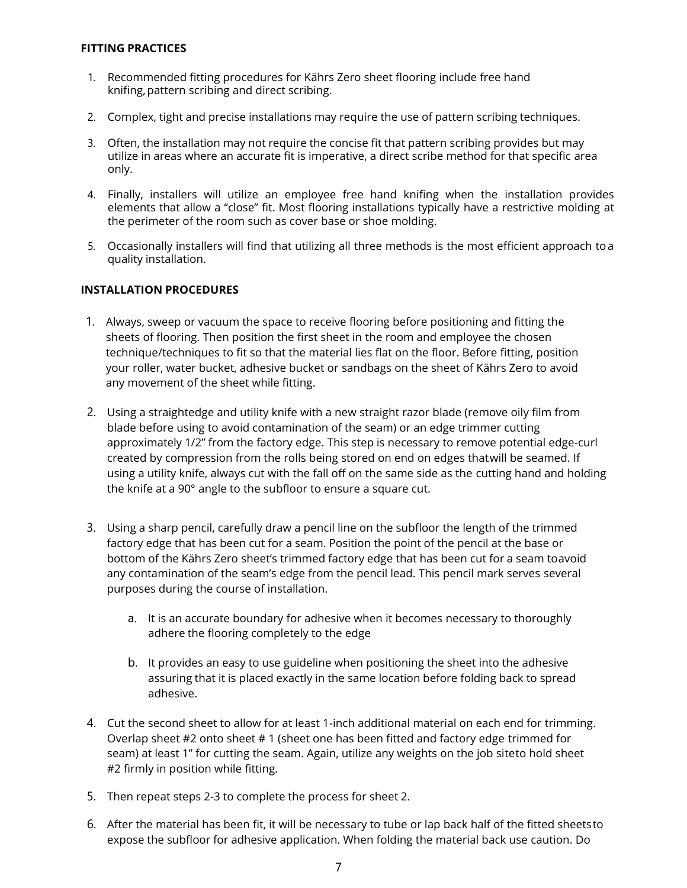#### **FITTING PRACTICES**

- 1. Recommended fitting procedures for Kährs Zero sheet flooring include free hand knifing, pattern scribing and direct scribing.
- 2. Complex, tight and precise installations may require the use of pattern scribing techniques.
- 3. Often, the installation may not require the concise fit that pattern scribing provides but may utilize in areas where an accurate fit is imperative, a direct scribe method for that specific area only.
- 4. Finally, installers will utilize an employee free hand knifing when the installation provides elements that allow a "close" fit. Most flooring installations typically have a restrictive molding at the perimeter of the room such as cover base or shoe molding.
- 5. Occasionally installers will find that utilizing all three methods is the most efficient approach toa quality installation.

#### **INSTALLATION PROCEDURES**

- 1. Always, sweep or vacuum the space to receive flooring before positioning and fitting the sheets of flooring. Then position the first sheet in the room and employee the chosen technique/techniques to fit so that the material lies flat on the floor. Before fitting, position your roller, water bucket, adhesive bucket or sandbags on the sheet of Kährs Zero to avoid any movement of the sheet while fitting.
- 2. Using a straightedge and utility knife with a new straight razor blade (remove oily film from blade before using to avoid contamination of the seam) or an edge trimmer cutting approximately 1/2" from the factory edge. This step is necessary to remove potential edge-curl created by compression from the rolls being stored on end on edges thatwill be seamed. If using a utility knife, always cut with the fall off on the same side as the cutting hand and holding the knife at a 90° angle to the subfloor to ensure a square cut.
- 3. Using a sharp pencil, carefully draw a pencil line on the subfloor the length of the trimmed factory edge that has been cut for a seam. Position the point of the pencil at the base or bottom of the Kährs Zero sheet's trimmed factory edge that has been cut for a seam toavoid any contamination of the seam's edge from the pencil lead. This pencil mark serves several purposes during the course of installation.
	- a. It is an accurate boundary for adhesive when it becomes necessary to thoroughly adhere the flooring completely to the edge
	- b. It provides an easy to use guideline when positioning the sheet into the adhesive assuring that it is placed exactly in the same location before folding back to spread adhesive.
- 4. Cut the second sheet to allow for at least 1-inch additional material on each end for trimming. Overlap sheet #2 onto sheet # 1 (sheet one has been fitted and factory edge trimmed for seam) at least 1" for cutting the seam. Again, utilize any weights on the job siteto hold sheet #2 firmly in position while fitting.
- 5. Then repeat steps 2-3 to complete the process for sheet 2.
- 6. After the material has been fit, it will be necessary to tube or lap back half of the fitted sheetsto expose the subfloor for adhesive application. When folding the material back use caution. Do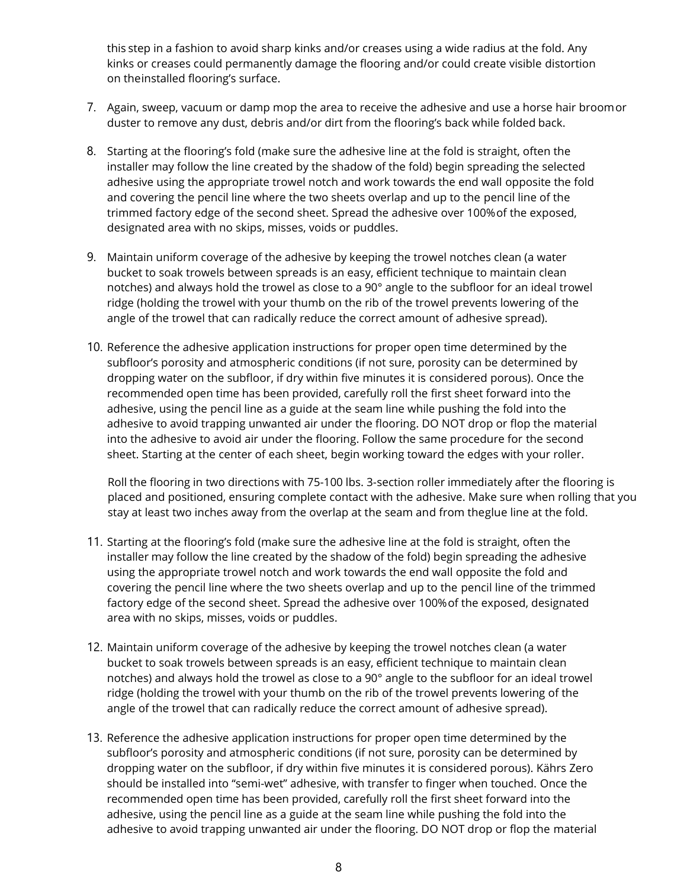this step in a fashion to avoid sharp kinks and/or creases using a wide radius at the fold. Any kinks or creases could permanently damage the flooring and/or could create visible distortion on theinstalled flooring's surface.

- 7. Again, sweep, vacuum or damp mop the area to receive the adhesive and use a horse hair broomor duster to remove any dust, debris and/or dirt from the flooring's back while folded back.
- 8. Starting at the flooring's fold (make sure the adhesive line at the fold is straight, often the installer may follow the line created by the shadow of the fold) begin spreading the selected adhesive using the appropriate trowel notch and work towards the end wall opposite the fold and covering the pencil line where the two sheets overlap and up to the pencil line of the trimmed factory edge of the second sheet. Spread the adhesive over 100%of the exposed, designated area with no skips, misses, voids or puddles.
- 9. Maintain uniform coverage of the adhesive by keeping the trowel notches clean (a water bucket to soak trowels between spreads is an easy, efficient technique to maintain clean notches) and always hold the trowel as close to a 90° angle to the subfloor for an ideal trowel ridge (holding the trowel with your thumb on the rib of the trowel prevents lowering of the angle of the trowel that can radically reduce the correct amount of adhesive spread).
- 10. Reference the adhesive application instructions for proper open time determined by the subfloor's porosity and atmospheric conditions (if not sure, porosity can be determined by dropping water on the subfloor, if dry within five minutes it is considered porous). Once the recommended open time has been provided, carefully roll the first sheet forward into the adhesive, using the pencil line as a guide at the seam line while pushing the fold into the adhesive to avoid trapping unwanted air under the flooring. DO NOT drop or flop the material into the adhesive to avoid air under the flooring. Follow the same procedure for the second sheet. Starting at the center of each sheet, begin working toward the edges with your roller.

Roll the flooring in two directions with 75-100 lbs. 3-section roller immediately after the flooring is placed and positioned, ensuring complete contact with the adhesive. Make sure when rolling that you stay at least two inches away from the overlap at the seam and from theglue line at the fold.

- 11. Starting at the flooring's fold (make sure the adhesive line at the fold is straight, often the installer may follow the line created by the shadow of the fold) begin spreading the adhesive using the appropriate trowel notch and work towards the end wall opposite the fold and covering the pencil line where the two sheets overlap and up to the pencil line of the trimmed factory edge of the second sheet. Spread the adhesive over 100%of the exposed, designated area with no skips, misses, voids or puddles.
- 12. Maintain uniform coverage of the adhesive by keeping the trowel notches clean (a water bucket to soak trowels between spreads is an easy, efficient technique to maintain clean notches) and always hold the trowel as close to a 90° angle to the subfloor for an ideal trowel ridge (holding the trowel with your thumb on the rib of the trowel prevents lowering of the angle of the trowel that can radically reduce the correct amount of adhesive spread).
- 13. Reference the adhesive application instructions for proper open time determined by the subfloor's porosity and atmospheric conditions (if not sure, porosity can be determined by dropping water on the subfloor, if dry within five minutes it is considered porous). Kährs Zero should be installed into "semi-wet" adhesive, with transfer to finger when touched. Once the recommended open time has been provided, carefully roll the first sheet forward into the adhesive, using the pencil line as a guide at the seam line while pushing the fold into the adhesive to avoid trapping unwanted air under the flooring. DO NOT drop or flop the material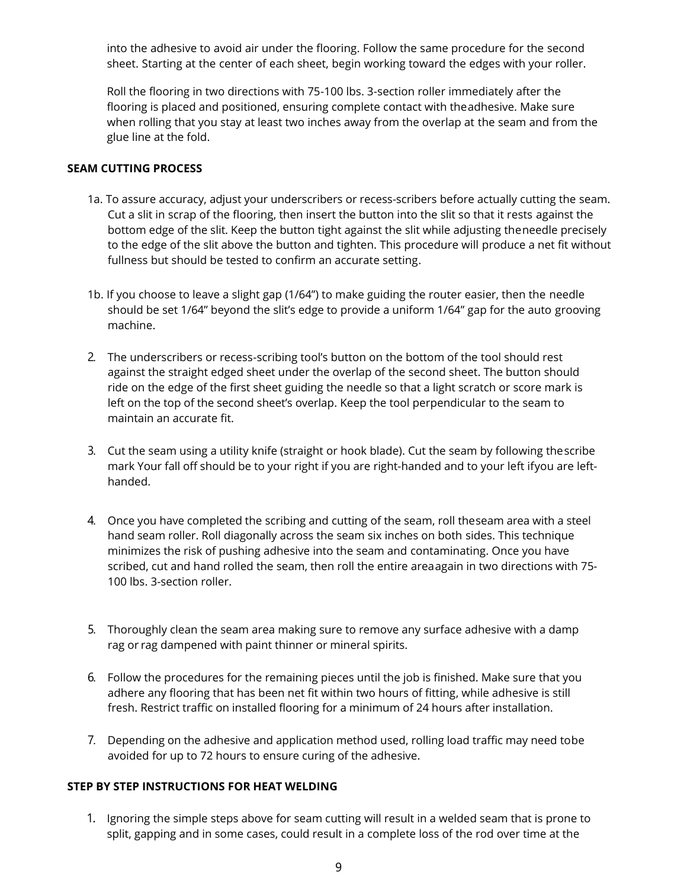into the adhesive to avoid air under the flooring. Follow the same procedure for the second sheet. Starting at the center of each sheet, begin working toward the edges with your roller.

Roll the flooring in two directions with 75-100 lbs. 3-section roller immediately after the flooring is placed and positioned, ensuring complete contact with theadhesive. Make sure when rolling that you stay at least two inches away from the overlap at the seam and from the glue line at the fold.

#### **SEAM CUTTING PROCESS**

- 1a. To assure accuracy, adjust your underscribers or recess-scribers before actually cutting the seam. Cut a slit in scrap of the flooring, then insert the button into the slit so that it rests against the bottom edge of the slit. Keep the button tight against the slit while adjusting theneedle precisely to the edge of the slit above the button and tighten. This procedure will produce a net fit without fullness but should be tested to confirm an accurate setting.
- 1b. If you choose to leave a slight gap (1/64") to make guiding the router easier, then the needle should be set 1/64" beyond the slit's edge to provide a uniform 1/64" gap for the auto grooving machine.
- 2. The underscribers or recess-scribing tool's button on the bottom of the tool should rest against the straight edged sheet under the overlap of the second sheet. The button should ride on the edge of the first sheet guiding the needle so that a light scratch or score mark is left on the top of the second sheet's overlap. Keep the tool perpendicular to the seam to maintain an accurate fit.
- 3. Cut the seam using a utility knife (straight or hook blade). Cut the seam by following thescribe mark Your fall off should be to your right if you are right-handed and to your left ifyou are lefthanded.
- 4. Once you have completed the scribing and cutting of the seam, roll theseam area with a steel hand seam roller. Roll diagonally across the seam six inches on both sides. This technique minimizes the risk of pushing adhesive into the seam and contaminating. Once you have scribed, cut and hand rolled the seam, then roll the entire areaagain in two directions with 75- 100 lbs. 3-section roller.
- rag or rag dampened with paint thinner or mineral spirits. 5. Thoroughly clean the seam area making sure to remove any surface adhesive with a damp
- 6 6. Follow the procedures for the remaining pieces until the job is finished. Make sure that you adhere any flooring that has been net fit within two hours of fitting, while adhesive is still fresh. Restrict traffic on installed flooring for a minimum of 24 hours after installation.
- 7. Depending on the adhesive and application method used, rolling load traffic may need tobe avoided for up to 72 hours to ensure curing of the adhesive.

### **STEP BY STEP INSTRUCTIONS FOR HEAT WELDING**

1. Ignoring the simple steps above for seam cutting will result in a welded seam that is prone to split, gapping and in some cases, could result in a complete loss of the rod over time at the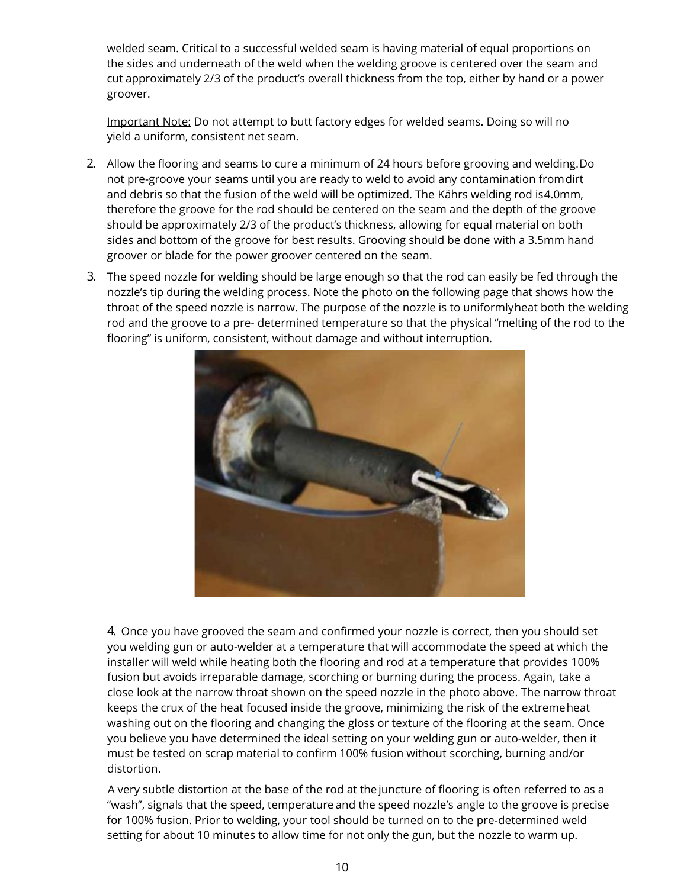welded seam. Critical to a successful welded seam is having material of equal proportions on the sides and underneath of the weld when the welding groove is centered over the seam and cut approximately 2/3 of the product's overall thickness from the top, either by hand or a power groover.

Important Note: Do not attempt to butt factory edges for welded seams. Doing so will no yield a uniform, consistent net seam.

- 2. Allow the flooring and seams to cure a minimum of 24 hours before grooving and welding.Do not pre-groove your seams until you are ready to weld to avoid any contamination fromdirt and debris so that the fusion of the weld will be optimized. The Kährs welding rod is4.0mm, therefore the groove for the rod should be centered on the seam and the depth of the groove should be approximately 2/3 of the product's thickness, allowing for equal material on both sides and bottom of the groove for best results. Grooving should be done with a 3.5mm hand groover or blade for the power groover centered on the seam.
- 3. The speed nozzle for welding should be large enough so that the rod can easily be fed through the nozzle's tip during the welding process. Note the photo on the following page that shows how the throat of the speed nozzle is narrow. The purpose of the nozzle is to uniformlyheat both the welding rod and the groove to a pre- determined temperature so that the physical "melting of the rod to the flooring" is uniform, consistent, without damage and without interruption.



4. Once you have grooved the seam and confirmed your nozzle is correct, then you should set you welding gun or auto-welder at a temperature that will accommodate the speed at which the installer will weld while heating both the flooring and rod at a temperature that provides 100% fusion but avoids irreparable damage, scorching or burning during the process. Again, take a close look at the narrow throat shown on the speed nozzle in the photo above. The narrow throat keeps the crux of the heat focused inside the groove, minimizing the risk of the extremeheat washing out on the flooring and changing the gloss or texture of the flooring at the seam. Once you believe you have determined the ideal setting on your welding gun or auto-welder, then it must be tested on scrap material to confirm 100% fusion without scorching, burning and/or distortion.

A very subtle distortion at the base of the rod at the juncture of flooring is often referred to as a "wash", signals that the speed, temperature and the speed nozzle's angle to the groove is precise for 100% fusion. Prior to welding, your tool should be turned on to the pre-determined weld setting for about 10 minutes to allow time for not only the gun, but the nozzle to warm up.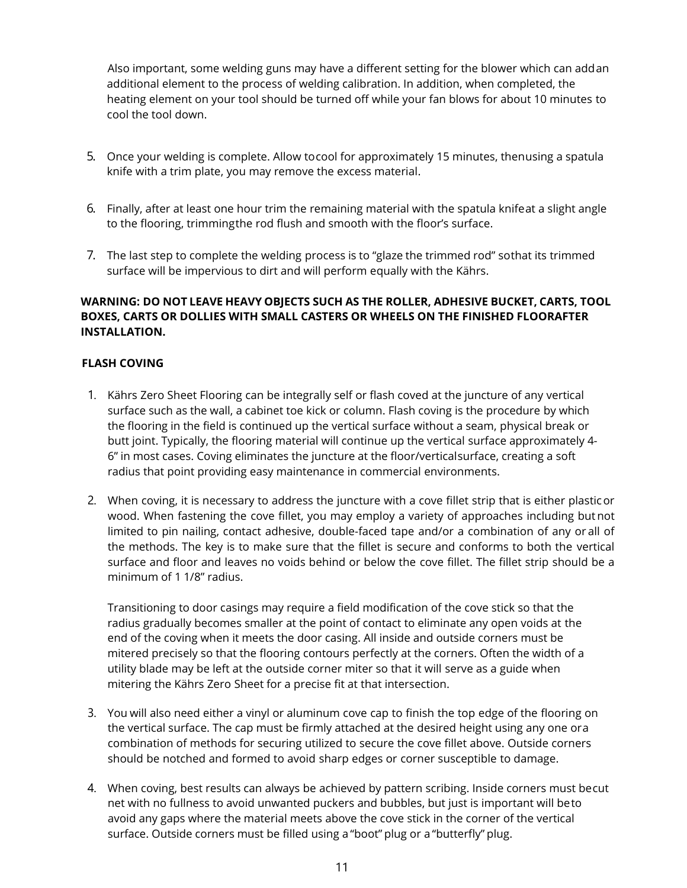Also important, some welding guns may have a different setting for the blower which can addan additional element to the process of welding calibration. In addition, when completed, the heating element on your tool should be turned off while your fan blows for about 10 minutes to cool the tool down.

- 5. Once your welding is complete. Allow tocool for approximately 15 minutes, thenusing a spatula knife with a trim plate, you may remove the excess material.
- 6. Finally, after at least one hour trim the remaining material with the spatula knifeat a slight angle to the flooring, trimmingthe rod flush and smooth with the floor's surface.
- 7. The last step to complete the welding process is to "glaze the trimmed rod" sothat its trimmed surface will be impervious to dirt and will perform equally with the Kährs.

# **WARNING: DO NOT LEAVE HEAVY OBJECTS SUCH AS THE ROLLER, ADHESIVE BUCKET, CARTS, TOOL BOXES, CARTS OR DOLLIES WITH SMALL CASTERS OR WHEELS ON THE FINISHED FLOORAFTER INSTALLATION.**

# **FLASH COVING**

- 1. Kährs Zero Sheet Flooring can be integrally self or flash coved at the juncture of any vertical surface such as the wall, a cabinet toe kick or column. Flash coving is the procedure by which the flooring in the field is continued up the vertical surface without a seam, physical break or butt joint. Typically, the flooring material will continue up the vertical surface approximately 4- 6" in most cases. Coving eliminates the juncture at the floor/verticalsurface, creating a soft radius that point providing easy maintenance in commercial environments.
- 2. When coving, it is necessary to address the juncture with a cove fillet strip that is either plasticor wood. When fastening the cove fillet, you may employ a variety of approaches including butnot limited to pin nailing, contact adhesive, double-faced tape and/or a combination of any or all of the methods. The key is to make sure that the fillet is secure and conforms to both the vertical surface and floor and leaves no voids behind or below the cove fillet. The fillet strip should be a minimum of 1 1/8" radius.

Transitioning to door casings may require a field modification of the cove stick so that the radius gradually becomes smaller at the point of contact to eliminate any open voids at the end of the coving when it meets the door casing. All inside and outside corners must be mitered precisely so that the flooring contours perfectly at the corners. Often the width of a utility blade may be left at the outside corner miter so that it will serve as a guide when mitering the Kährs Zero Sheet for a precise fit at that intersection.

- 3. You will also need either a vinyl or aluminum cove cap to finish the top edge of the flooring on the vertical surface. The cap must be firmly attached at the desired height using any one ora combination of methods for securing utilized to secure the cove fillet above. Outside corners should be notched and formed to avoid sharp edges or corner susceptible to damage.
- 4. When coving, best results can always be achieved by pattern scribing. Inside corners must becut net with no fullness to avoid unwanted puckers and bubbles, but just is important will beto avoid any gaps where the material meets above the cove stick in the corner of the vertical surface. Outside corners must be filled using a "boot" plug or a "butterfly" plug.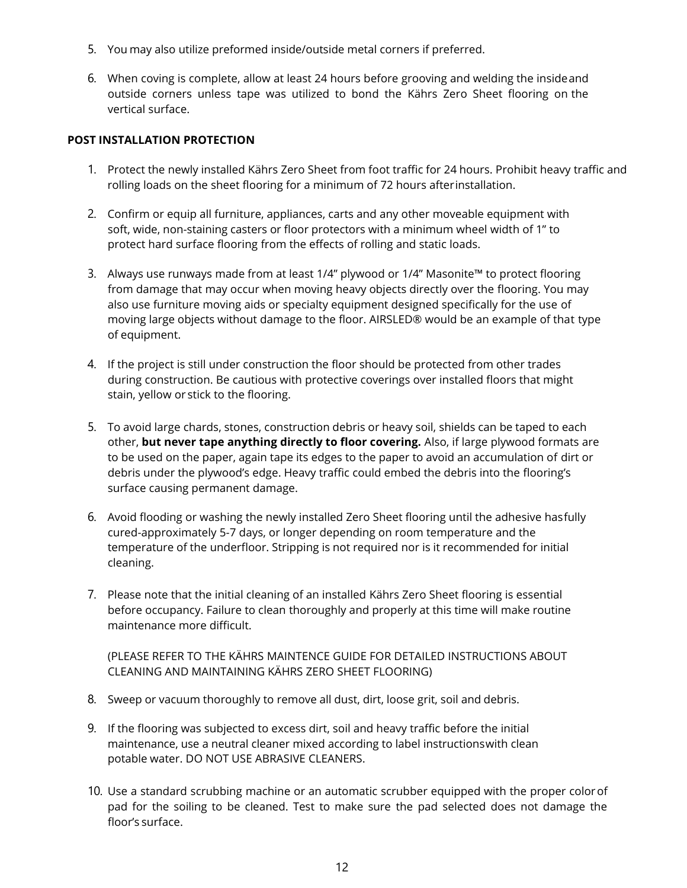- 5. You may also utilize preformed inside/outside metal corners if preferred.
- 6. When coving is complete, allow at least 24 hours before grooving and welding the insideand outside corners unless tape was utilized to bond the Kährs Zero Sheet flooring on the vertical surface.

#### **POST INSTALLATION PROTECTION**

- 1. Protect the newly installed Kährs Zero Sheet from foot traffic for 24 hours. Prohibit heavy traffic and rolling loads on the sheet flooring for a minimum of 72 hours afterinstallation.
- 2. Confirm or equip all furniture, appliances, carts and any other moveable equipment with soft, wide, non-staining casters or floor protectors with a minimum wheel width of 1" to protect hard surface flooring from the effects of rolling and static loads.
- 3. Always use runways made from at least 1/4" plywood or 1/4" Masonite™ to protect flooring from damage that may occur when moving heavy objects directly over the flooring. You may also use furniture moving aids or specialty equipment designed specifically for the use of moving large objects without damage to the floor. AIRSLED® would be an example of that type of equipment.
- 4. If the project is still under construction the floor should be protected from other trades during construction. Be cautious with protective coverings over installed floors that might stain, yellow or stick to the flooring.
- 5. To avoid large chards, stones, construction debris or heavy soil, shields can be taped to each other, **but never tape anything directly to floor covering.** Also, if large plywood formats are to be used on the paper, again tape its edges to the paper to avoid an accumulation of dirt or debris under the plywood's edge. Heavy traffic could embed the debris into the flooring's surface causing permanent damage.
- 6. Avoid flooding or washing the newly installed Zero Sheet flooring until the adhesive hasfully cured-approximately 5-7 days, or longer depending on room temperature and the temperature of the underfloor. Stripping is not required nor is it recommended for initial cleaning.
- 7. Please note that the initial cleaning of an installed Kährs Zero Sheet flooring is essential before occupancy. Failure to clean thoroughly and properly at this time will make routine maintenance more difficult.

(PLEASE REFER TO THE KÄHRS MAINTENCE GUIDE FOR DETAILED INSTRUCTIONS ABOUT CLEANING AND MAINTAINING KÄHRS ZERO SHEET FLOORING)

- 8. Sweep or vacuum thoroughly to remove all dust, dirt, loose grit, soil and debris.
- 9. If the flooring was subjected to excess dirt, soil and heavy traffic before the initial maintenance, use a neutral cleaner mixed according to label instructionswith clean potable water. DO NOT USE ABRASIVE CLEANERS.
- 10. Use a standard scrubbing machine or an automatic scrubber equipped with the proper colorof pad for the soiling to be cleaned. Test to make sure the pad selected does not damage the floor's surface.